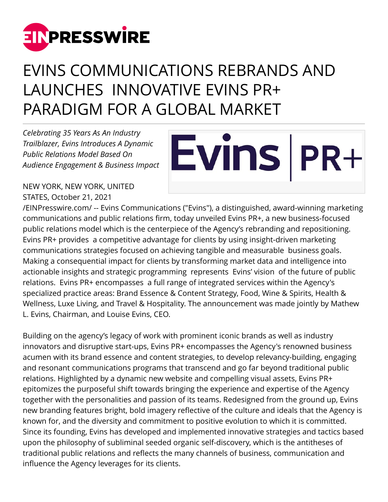

## EVINS COMMUNICATIONS REBRANDS AND LAUNCHES INNOVATIVE EVINS PR+ PARADIGM FOR A GLOBAL MARKET

*Celebrating 35 Years As An Industry Trailblazer, Evins Introduces A Dynamic Public Relations Model Based On Audience Engagement & Business Impact*

## Evins | PR+

NEW YORK, NEW YORK, UNITED STATES, October 21, 2021

[/EINPresswire.com/](http://www.einpresswire.com) -- Evins Communications ("Evins"), a distinguished, award-winning marketing communications and public relations firm, today unveiled Evins PR+, a new business-focused public relations model which is the centerpiece of the Agency's rebranding and repositioning. Evins PR+ provides a competitive advantage for clients by using insight-driven marketing communications strategies focused on achieving tangible and measurable business goals. Making a consequential impact for clients by transforming market data and intelligence into actionable insights and strategic programming represents Evins' vision of the future of public relations. Evins PR+ encompasses a full range of integrated services within the Agency's specialized practice areas: Brand Essence & Content Strategy, Food, Wine & Spirits, Health & Wellness, Luxe Living, and Travel & Hospitality. The announcement was made jointly by Mathew L. Evins, Chairman, and Louise Evins, CEO.

Building on the agency's legacy of work with prominent iconic brands as well as industry innovators and disruptive start-ups, Evins PR+ encompasses the Agency's renowned business acumen with its brand essence and content strategies, to develop relevancy-building, engaging and resonant communications programs that transcend and go far beyond traditional public relations. Highlighted by a dynamic new website and compelling visual assets, Evins PR+ epitomizes the purposeful shift towards bringing the experience and expertise of the Agency together with the personalities and passion of its teams. Redesigned from the ground up, Evins new branding features bright, bold imagery reflective of the culture and ideals that the Agency is known for, and the diversity and commitment to positive evolution to which it is committed. Since its founding, Evins has developed and implemented innovative strategies and tactics based upon the philosophy of subliminal seeded organic self-discovery, which is the antitheses of traditional public relations and reflects the many channels of business, communication and influence the Agency leverages for its clients.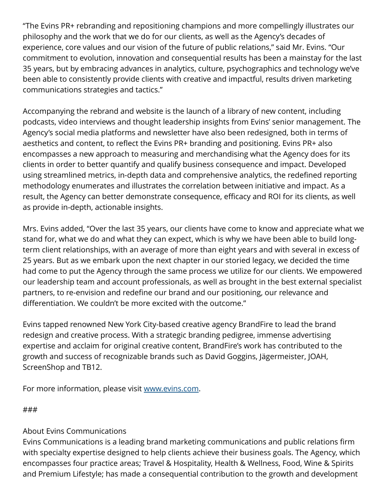"The Evins PR+ rebranding and repositioning champions and more compellingly illustrates our philosophy and the work that we do for our clients, as well as the Agency's decades of experience, core values and our vision of the future of public relations," said Mr. Evins. "Our commitment to evolution, innovation and consequential results has been a mainstay for the last 35 years, but by embracing advances in analytics, culture, psychographics and technology we've been able to consistently provide clients with creative and impactful, results driven marketing communications strategies and tactics."

Accompanying the rebrand and website is the launch of a library of new content, including podcasts, video interviews and thought leadership insights from Evins' senior management. The Agency's social media platforms and newsletter have also been redesigned, both in terms of aesthetics and content, to reflect the Evins PR+ branding and positioning. Evins PR+ also encompasses a new approach to measuring and merchandising what the Agency does for its clients in order to better quantify and qualify business consequence and impact. Developed using streamlined metrics, in-depth data and comprehensive analytics, the redefined reporting methodology enumerates and illustrates the correlation between initiative and impact. As a result, the Agency can better demonstrate consequence, efficacy and ROI for its clients, as well as provide in-depth, actionable insights.

Mrs. Evins added, "Over the last 35 years, our clients have come to know and appreciate what we stand for, what we do and what they can expect, which is why we have been able to build longterm client relationships, with an average of more than eight years and with several in excess of 25 years. But as we embark upon the next chapter in our storied legacy, we decided the time had come to put the Agency through the same process we utilize for our clients. We empowered our leadership team and account professionals, as well as brought in the best external specialist partners, to re-envision and redefine our brand and our positioning, our relevance and differentiation. We couldn't be more excited with the outcome."

Evins tapped renowned New York City-based creative agency BrandFire to lead the brand redesign and creative process. With a strategic branding pedigree, immense advertising expertise and acclaim for original creative content, BrandFire's work has contributed to the growth and success of recognizable brands such as David Goggins, Jägermeister, JOAH, ScreenShop and TB12.

For more information, please visit [www.evins.com.](http://www.evins.com)

###

## About Evins Communications

Evins Communications is a leading brand marketing communications and public relations firm with specialty expertise designed to help clients achieve their business goals. The Agency, which encompasses four practice areas; Travel & Hospitality, Health & Wellness, Food, Wine & Spirits and Premium Lifestyle; has made a consequential contribution to the growth and development